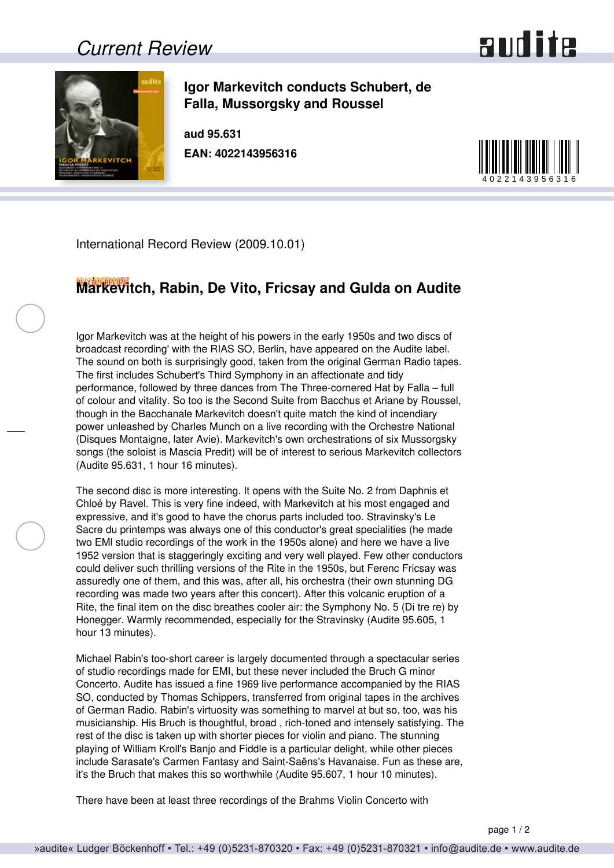## *Current Review*





**Igor Markevitch conducts Schubert, de Falla, Mussorgsky and Roussel**

**aud 95.631 EAN: 4022143956316**



International Record Review (2009.10.01)

## **Markevitch, Rabin, De Vito, Fricsay and Gulda on Audite**

Igor Markevitch was at the height of his powers in the early 1950s and two discs of broadcast recording' with the RIAS SO, Berlin, have appeared on the Audite label. The sound on both is surprisingly good, taken from the original German Radio tapes. The first includes Schubert's Third Symphony in an affectionate and tidy performance, followed by three dances from The Three-cornered Hat by Falla – full of colour and vitality. So too is the Second Suite from Bacchus et Ariane by Roussel, though in the Bacchanale Markevitch doesn't quite match the kind of incendiary power unleashed by Charles Munch on a live recording with the Orchestre National (Disques Montaigne, later Avie). Markevitch's own orchestrations of six Mussorgsky songs (the soloist is Mascia Predit) will be of interest to serious Markevitch collectors (Audite 95.631, 1 hour 16 minutes).

The second disc is more interesting. It opens with the Suite No. 2 from Daphnis et Chloé by Ravel. This is very fine indeed, with Markevitch at his most engaged and expressive, and it's good to have the chorus parts included too. Stravinsky's Le Sacre du printemps was always one of this conductor's great specialities (he made two EMl studio recordings of the work in the 1950s alone) and here we have a live 1952 version that is staggeringly exciting and very well played. Few other conductors could deliver such thrilling versions of the Rite in the 1950s, but Ferenc Fricsay was assuredly one of them, and this was, after all, his orchestra (their own stunning DG recording was made two years after this concert). After this volcanic eruption of a Rite, the final item on the disc breathes cooler air: the Symphony No. 5 (Di tre re) by Honegger. Warmly recommended, especially for the Stravinsky (Audite 95.605, 1 hour 13 minutes).

Michael Rabin's too-short career is largely documented through a spectacular series of studio recordings made for EMI, but these never included the Bruch G minor Concerto. Audite has issued a fine 1969 live performance accompanied by the RIAS SO, conducted by Thomas Schippers, transferred from original tapes in the archives of German Radio. Rabin's virtuosity was something to marvel at but so, too, was his musicianship. His Bruch is thoughtful, broad , rich-toned and intensely satisfying. The rest of the disc is taken up with shorter pieces for violin and piano. The stunning playing of William Kroll's Banjo and Fiddle is a particular delight, while other pieces include Sarasate's Carmen Fantasy and Saint-Saëns's Havanaise. Fun as these are, it's the Bruch that makes this so worthwhile (Audite 95.607, 1 hour 10 minutes).

There have been at least three recordings of the Brahms Violin Concerto with